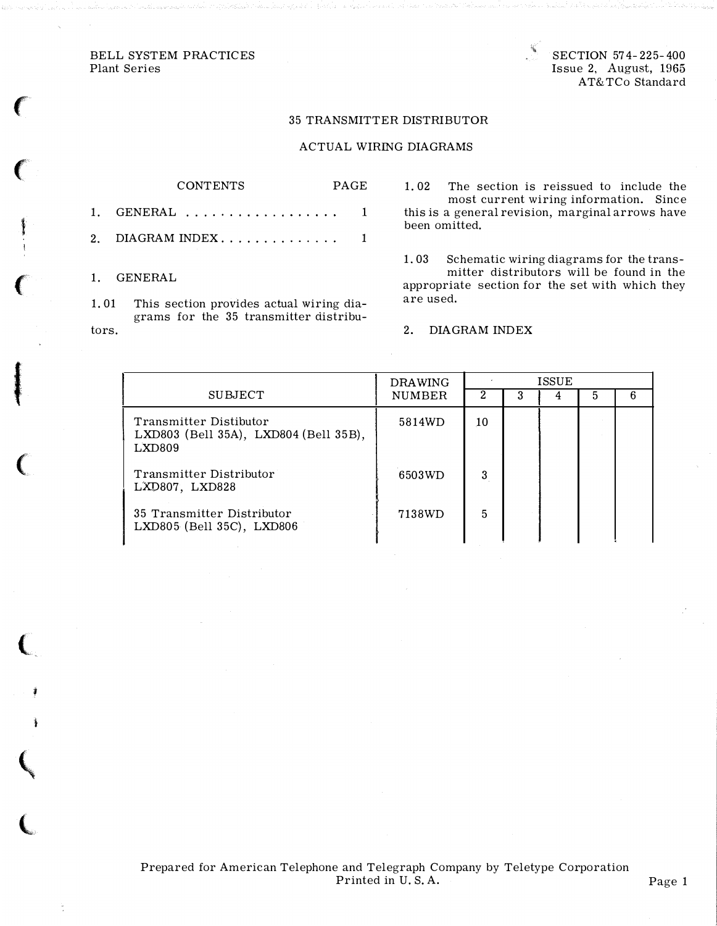BELL SYSTEM PRACTICES Plant Series

SECTION 57 4-225-400 Issue 2, August, 1965 AT&TCo Standard

## 35 TRANSMITTER DISTRIBUTOR

## ACTUAL WIRING DIAGRAMS

## CONTENTS PAGE 1. GENERAL .................. 1

2. DIAGRAM INDEX..............  $1$ 

1. GENERAL

'

 $\big($ 

i<br>Indiana

 $\big($ 

**I** 

(

(

'

 $\mathbf{\zeta}$ 

 $\overline{\mathbb{C}}$ 

1. 01 This section provides actual wiring diagrams for the 35 transmitter distributors.

1. 02 The section is reissued to include the most current wiring information. Since this is a general revision, marginal arrows have been omitted.

1. 03 Schematic wiring diagrams for the transmitter distributors will be found in the appropriate section for the set with which they are used.

2. DIAGRAM INDEX

|                                                                           | <b>DRAWING</b> | <b>ISSUE</b> |  |  |  |  |
|---------------------------------------------------------------------------|----------------|--------------|--|--|--|--|
| <b>SUBJECT</b>                                                            | <b>NUMBER</b>  |              |  |  |  |  |
| Transmitter Distibutor<br>LXD803 (Bell 35A), LXD804 (Bell 35B),<br>LXD809 | 5814WD         | 10           |  |  |  |  |
| Transmitter Distributor<br>LXD807, LXD828                                 | 6503WD         | 3            |  |  |  |  |
| 35 Transmitter Distributor<br>LXD805 (Bell 35C), LXD806                   | 7138WD         | 5            |  |  |  |  |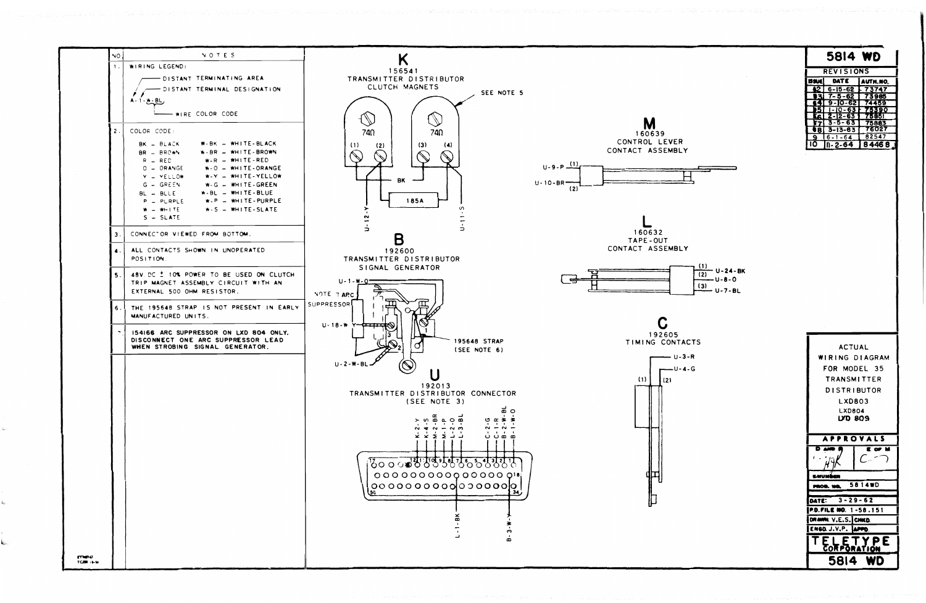NOI NOTES  $\mathsf{K}$  $\mathbf{1}$ . WIRING LEGEND: 156541 - DISTANT TERMINATING AREA TRANSMITTER DISTRIBUTOR CLUTCH MAGNETS - DISTANT TERMINAL DESIGNATION SEE NOTE 5  $\gamma$  $A - 1 - M - BL$ WIRE COLOR CODE  $\mathbb{C}$  $\mathbb{Z}$ M COLOR CODE:  $\overline{2}$ .  $740$ 740 160639 CONTROL LEVER BK - BLACK  $W-BK = WHITE-BLACK$  $(1)$  $(3)$  $(2)$  $\left( \blacktriangle \right)$ CONTACT ASSEMBLY BR - BROWN W-BR - WHITE-BROWN  $W-R = WHITE - RED$  $R$   $-$  RED  $(1)$  $U - 9 - P$  $O - ORANGE$  $W - 0 = WHITE - ORANGE$  $Y = YELLOW$ W-Y - WHITE-YELLOW  $U - 10 - BR$  $G - GREF$  $W-G = WHITE-GREEN$  $(2)$  $W-BL = WHITE-BLUE$  $BL - BULE$  $W - P$  =  $WHITE - PURPLE$ **185A**  $P = P \cup RPLE$  $W-S = WHITE-SLATE$  $W = WHITE$  $S - SLATE$  $\overline{a}$  $\overrightarrow{a}$  $\overline{a}$ 160632 CONNECTOR VIEWED FROM BOTTOM. 3. B TAPE-OUT CONTACT ASSEMBLY ALL CONTACTS SHOWN IN UNOPERATED 192600 TRANSMITTER DISTRIBUTOR POSITION. SIGNAL GENERATOR 48V. DC ± 10% POWER TO BE USED ON CLUTCH  $11 - 1 - W - 0$ TRIP MAGNET ASSEMBLY CIRCUIT WITH AN EXTERNAL 500 OHM RESISTOR. NOTE 7 ARC SUPPRESSOR THE 195648 STRAP IS NOT PRESENT IN EARLY MANUFACTURED UNITS.  $U - 18 - W$ 154166 ARC SUPPRESSOR ON LXD 804 ONLY. 192605 DISCONNECT ONE ARC SUPPRESSOR LEAD 195648 STRAP TIMING CONTACTS WHEN STROBING SIGNAL GENERATOR. (SEE NOTE 6)  $U - 2 - W - B$ U l (2)  $(1)$ 192013 TRANSMITTER DISTRIBUTOR CONNECTOR (SEE NOTE 3) 画口  $0 \alpha \geq \frac{1}{2}$  $\sim$  0  $\overline{a}$  0  $\overline{a}$  $\frac{1}{2} + \frac{1}{2} + \frac{1}{2}$  $\frac{1}{2}$   $\frac{1}{2}$   $\frac{1}{2}$   $\frac{1}{2}$ ပ်ပံ့စံ စံ <u> ४००० बर्कसंस्कृतिस्त इन्स्स्तरस्ति ।</u>  $0.00000000000000000$ ູ່ ് எமை TCBB (EM

|     | 5814             | <b>WD</b> |  |
|-----|------------------|-----------|--|
|     | <b>REVISIONS</b> |           |  |
|     | DATE             | AUTH.NO.  |  |
| A2  | $6 - 15 - 62$    | - 73747   |  |
|     | $7 - 5 - 62$     | 73985     |  |
| 64  | $9 - 10 - 62$    | 74459     |  |
| D5I | $1 - 10 - 63$    | 75390     |  |
| R   | 2-12-63          | 75851     |  |
|     | $3 - 5 - 63$     | 75883     |  |
| 88  | $3 - 13 - 63$    | 76027     |  |
| ٩   | $-1 - 64$<br>6   | 82547     |  |
|     | - 2-64           | 8 4 4 6 8 |  |



| $U - 24 - BK$<br>(2) |
|----------------------|
| $U - B - O$<br>〔3〕   |
| <b>U-7-BL</b>        |

 $- U - 3 - R$  $-U - 4 - G$ 

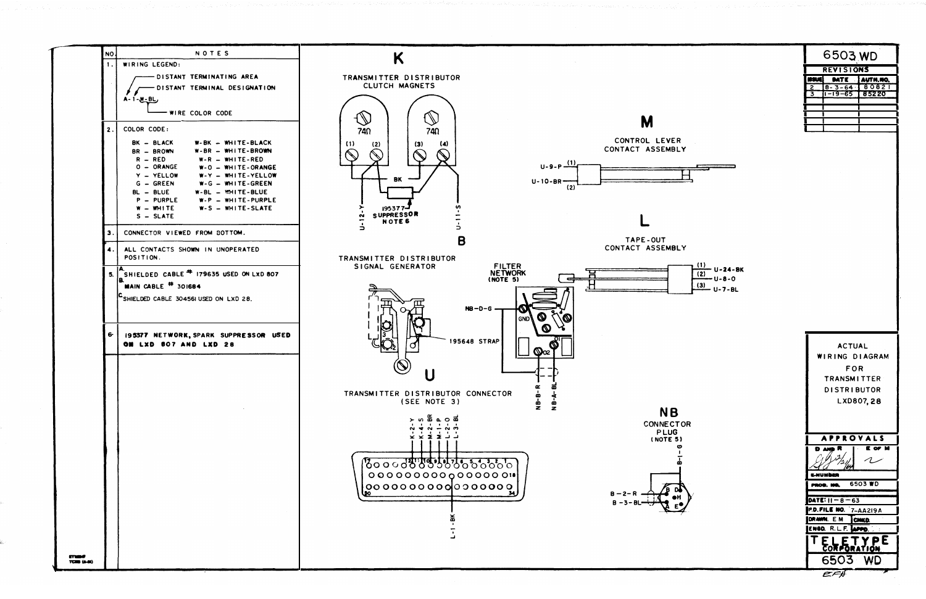

| 6503.WD          |                       |                 |
|------------------|-----------------------|-----------------|
| <b>REVISIONS</b> |                       |                 |
|                  |                       | DATE   AUTH.NO. |
| $\tilde{z}$      | $8 - 3 - 64$ $180821$ |                 |
| 3                | $1 - 19 - 65$ 85220   |                 |
|                  |                       |                 |
|                  |                       |                 |
|                  |                       |                 |
|                  |                       |                 |
|                  |                       |                 |

| <b>U-24-BK</b><br>(2)<br>$U - 8 - 0$ |
|--------------------------------------|
| (3)                                  |
| $U - 7 - BL$                         |





- 
- 
-